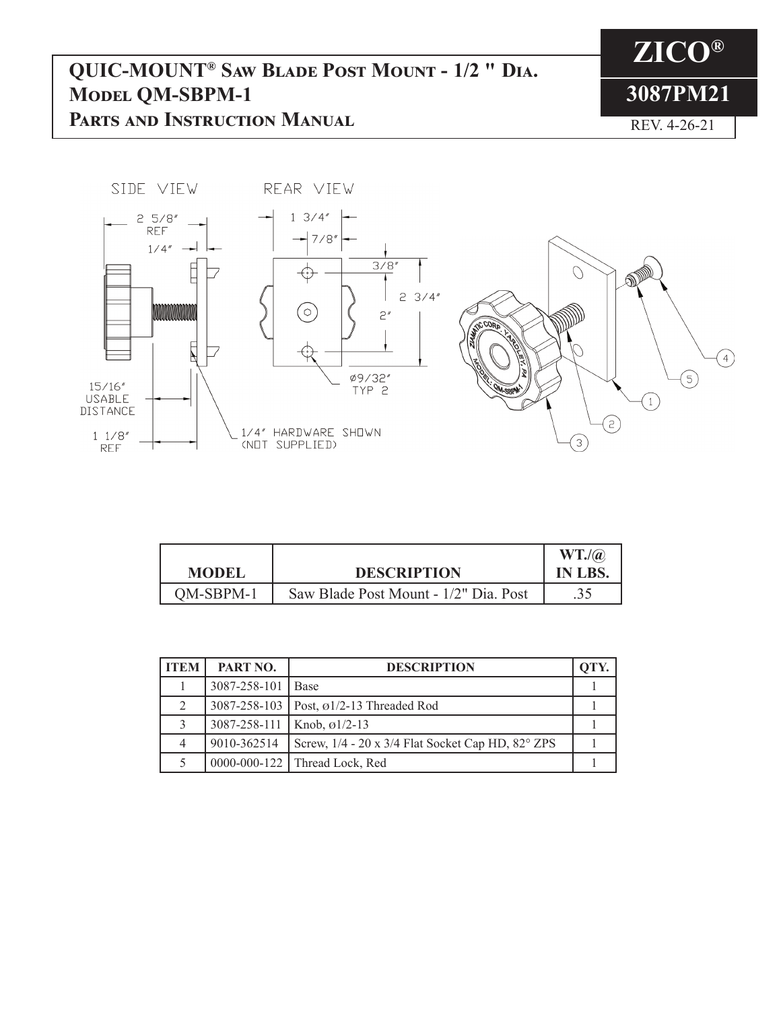## **QUIC-MOUNT® Saw Blade Post Mount - 1/2 " Dia. Model QM-SBPM-1 Parts and Instruction Manual**

**ZICO® 3087PM21** REV. 4-26-21



|              |                                       | WT.(a)  |
|--------------|---------------------------------------|---------|
| <b>MODEL</b> | <b>DESCRIPTION</b>                    | IN LBS. |
| QM-SBPM-1    | Saw Blade Post Mount - 1/2" Dia. Post |         |

| ITEM                        | PART NO.                | <b>DESCRIPTION</b>                                                |  |
|-----------------------------|-------------------------|-------------------------------------------------------------------|--|
|                             | $3087 - 258 - 101$ Base |                                                                   |  |
| $\mathcal{D}_{\mathcal{L}}$ |                         | 3087-258-103   Post, ø1/2-13 Threaded Rod                         |  |
| $\mathbf{R}$                |                         | $3087 - 258 - 111$   Knob, $\varnothing$ 1/2-13                   |  |
|                             | 9010-362514             | Screw, $1/4 - 20 \times 3/4$ Flat Socket Cap HD, $82^{\circ}$ ZPS |  |
|                             |                         | 0000-000-122   Thread Lock, Red                                   |  |